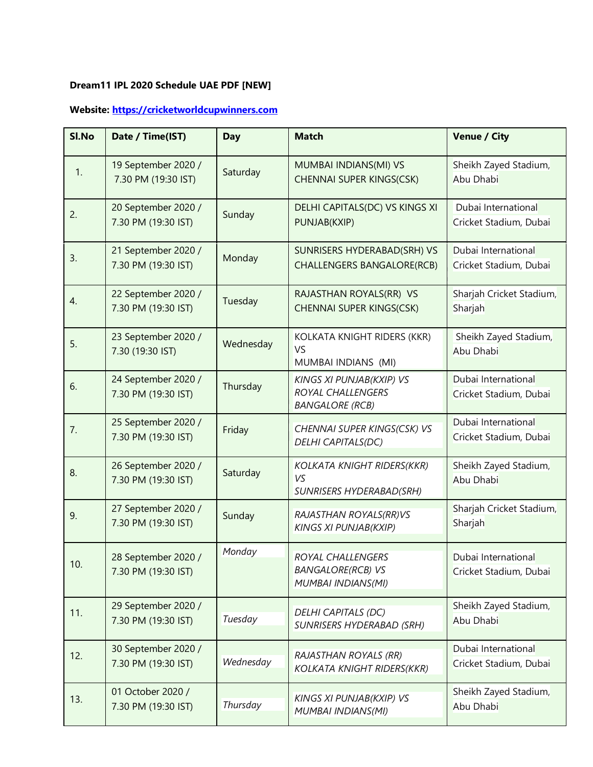## **Dream11 IPL 2020 Schedule UAE PDF [NEW]**

## **Website[: https://cricketworldcupwinners.com](https://cricketworldcupwinners.com/)**

| SI.No | Date / Time(IST)                           | <b>Day</b> | <b>Match</b>                                                                   | <b>Venue / City</b>                           |
|-------|--------------------------------------------|------------|--------------------------------------------------------------------------------|-----------------------------------------------|
| 1.    | 19 September 2020 /<br>7.30 PM (19:30 IST) | Saturday   | MUMBAI INDIANS(MI) VS<br><b>CHENNAI SUPER KINGS(CSK)</b>                       | Sheikh Zayed Stadium,<br>Abu Dhabi            |
| 2.    | 20 September 2020 /<br>7.30 PM (19:30 IST) | Sunday     | DELHI CAPITALS(DC) VS KINGS XI<br>PUNJAB(KXIP)                                 | Dubai International<br>Cricket Stadium, Dubai |
| 3.    | 21 September 2020 /<br>7.30 PM (19:30 IST) | Monday     | SUNRISERS HYDERABAD(SRH) VS<br><b>CHALLENGERS BANGALORE(RCB)</b>               | Dubai International<br>Cricket Stadium, Dubai |
| 4.    | 22 September 2020 /<br>7.30 PM (19:30 IST) | Tuesday    | RAJASTHAN ROYALS(RR) VS<br>CHENNAI SUPER KINGS(CSK)                            | Sharjah Cricket Stadium,<br>Sharjah           |
| 5.    | 23 September 2020 /<br>7.30 (19:30 IST)    | Wednesday  | KOLKATA KNIGHT RIDERS (KKR)<br><b>VS</b><br>MUMBAI INDIANS (MI)                | Sheikh Zayed Stadium,<br>Abu Dhabi            |
| 6.    | 24 September 2020 /<br>7.30 PM (19:30 IST) | Thursday   | KINGS XI PUNJAB(KXIP) VS<br><b>ROYAL CHALLENGERS</b><br><b>BANGALORE (RCB)</b> | Dubai International<br>Cricket Stadium, Dubai |
| 7.    | 25 September 2020 /<br>7.30 PM (19:30 IST) | Friday     | CHENNAI SUPER KINGS(CSK) VS<br><b>DELHI CAPITALS(DC)</b>                       | Dubai International<br>Cricket Stadium, Dubai |
| 8.    | 26 September 2020 /<br>7.30 PM (19:30 IST) | Saturday   | <b>KOLKATA KNIGHT RIDERS(KKR)</b><br>VS<br><b>SUNRISERS HYDERABAD(SRH)</b>     | Sheikh Zayed Stadium,<br>Abu Dhabi            |
| 9.    | 27 September 2020 /<br>7.30 PM (19:30 IST) | Sunday     | RAJASTHAN ROYALS(RR)VS<br><b>KINGS XI PUNJAB(KXIP)</b>                         | Sharjah Cricket Stadium,<br>Sharjah           |
| 10.   | 28 September 2020 /<br>7.30 PM (19:30 IST) | Monday     | ROYAL CHALLENGERS<br><b>BANGALORE(RCB) VS</b><br><b>MUMBAI INDIANS(MI)</b>     | Dubai International<br>Cricket Stadium, Dubai |
| 11.   | 29 September 2020 /<br>7.30 PM (19:30 IST) | Tuesday    | <b>DELHI CAPITALS (DC)</b><br><b>SUNRISERS HYDERABAD (SRH)</b>                 | Sheikh Zayed Stadium,<br>Abu Dhabi            |
| 12.   | 30 September 2020 /<br>7.30 PM (19:30 IST) | Wednesday  | <b>RAJASTHAN ROYALS (RR)</b><br><b>KOLKATA KNIGHT RIDERS(KKR)</b>              | Dubai International<br>Cricket Stadium, Dubai |
| 13.   | 01 October 2020 /<br>7.30 PM (19:30 IST)   | Thursday   | KINGS XI PUNJAB(KXIP) VS<br><b>MUMBAI INDIANS(MI)</b>                          | Sheikh Zayed Stadium,<br>Abu Dhabi            |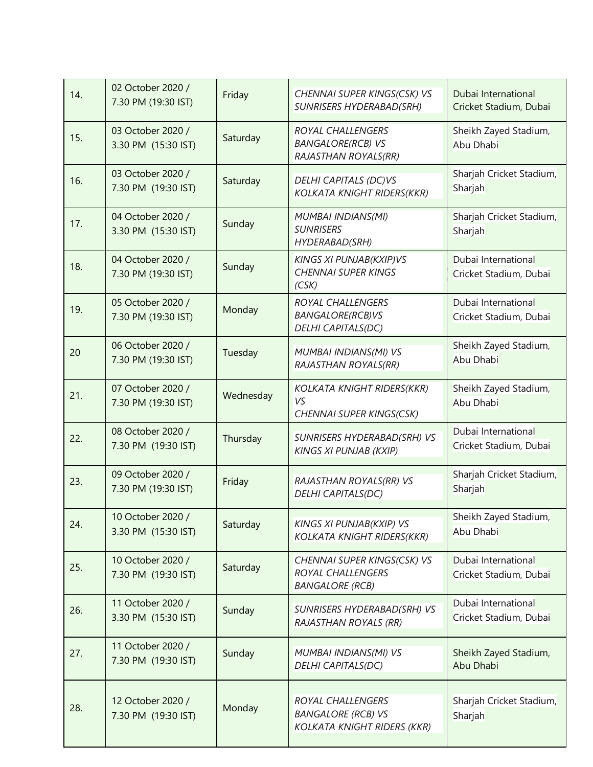| 14. | 02 October 2020 /<br>7.30 PM (19:30 IST) | Friday    | CHENNAI SUPER KINGS(CSK) VS<br><b>SUNRISERS HYDERABAD(SRH)</b>                       | Dubai International<br>Cricket Stadium, Dubai |
|-----|------------------------------------------|-----------|--------------------------------------------------------------------------------------|-----------------------------------------------|
| 15. | 03 October 2020 /<br>3.30 PM (15:30 IST) | Saturday  | <b>ROYAL CHALLENGERS</b><br><b>BANGALORE(RCB) VS</b><br>RAJASTHAN ROYALS(RR)         | Sheikh Zayed Stadium,<br>Abu Dhabi            |
| 16. | 03 October 2020 /<br>7.30 PM (19:30 IST) | Saturday  | <b>DELHI CAPITALS (DC)VS</b><br><b>KOLKATA KNIGHT RIDERS(KKR)</b>                    | Sharjah Cricket Stadium,<br>Sharjah           |
| 17. | 04 October 2020 /<br>3.30 PM (15:30 IST) | Sunday    | <b>MUMBAI INDIANS(MI)</b><br><b>SUNRISERS</b><br><b>HYDERABAD(SRH)</b>               | Sharjah Cricket Stadium,<br>Sharjah           |
| 18. | 04 October 2020 /<br>7.30 PM (19:30 IST) | Sunday    | <b>KINGS XI PUNJAB(KXIP)VS</b><br><b>CHENNAI SUPER KINGS</b><br>(CSK)                | Dubai International<br>Cricket Stadium, Dubai |
| 19. | 05 October 2020 /<br>7.30 PM (19:30 IST) | Monday    | <b>ROYAL CHALLENGERS</b><br><b>BANGALORE(RCB)VS</b><br><b>DELHI CAPITALS(DC)</b>     | Dubai International<br>Cricket Stadium, Dubai |
| 20  | 06 October 2020 /<br>7.30 PM (19:30 IST) | Tuesday   | MUMBAI INDIANS(MI) VS<br>RAJASTHAN ROYALS(RR)                                        | Sheikh Zayed Stadium,<br>Abu Dhabi            |
| 21. | 07 October 2020 /<br>7.30 PM (19:30 IST) | Wednesday | <b>KOLKATA KNIGHT RIDERS(KKR)</b><br>VS<br>CHENNAI SUPER KINGS(CSK)                  | Sheikh Zayed Stadium,<br>Abu Dhabi            |
| 22. | 08 October 2020 /<br>7.30 PM (19:30 IST) | Thursday  | SUNRISERS HYDERABAD(SRH) VS<br><b>KINGS XI PUNJAB (KXIP)</b>                         | Dubai International<br>Cricket Stadium, Dubai |
| 23. | 09 October 2020 /<br>7.30 PM (19:30 IST) | Friday    | RAJASTHAN ROYALS(RR) VS<br><b>DELHI CAPITALS(DC)</b>                                 | Sharjah Cricket Stadium,<br>Sharjah           |
| 24. | 10 October 2020 /<br>3.30 PM (15:30 IST) | Saturday  | <b>KINGS XI PUNJAB(KXIP) VS</b><br><b>KOLKATA KNIGHT RIDERS(KKR)</b>                 | Sheikh Zayed Stadium,<br>Abu Dhabi            |
| 25. | 10 October 2020 /<br>7.30 PM (19:30 IST) | Saturday  | CHENNAI SUPER KINGS(CSK) VS<br>ROYAL CHALLENGERS<br><b>BANGALORE (RCB)</b>           | Dubai International<br>Cricket Stadium, Dubai |
| 26. | 11 October 2020 /<br>3.30 PM (15:30 IST) | Sunday    | SUNRISERS HYDERABAD(SRH) VS<br><b>RAJASTHAN ROYALS (RR)</b>                          | Dubai International<br>Cricket Stadium, Dubai |
| 27. | 11 October 2020 /<br>7.30 PM (19:30 IST) | Sunday    | <b>MUMBAI INDIANS(MI) VS</b><br><b>DELHI CAPITALS(DC)</b>                            | Sheikh Zayed Stadium,<br>Abu Dhabi            |
| 28. | 12 October 2020 /<br>7.30 PM (19:30 IST) | Monday    | ROYAL CHALLENGERS<br><b>BANGALORE (RCB) VS</b><br><b>KOLKATA KNIGHT RIDERS (KKR)</b> | Sharjah Cricket Stadium,<br>Sharjah           |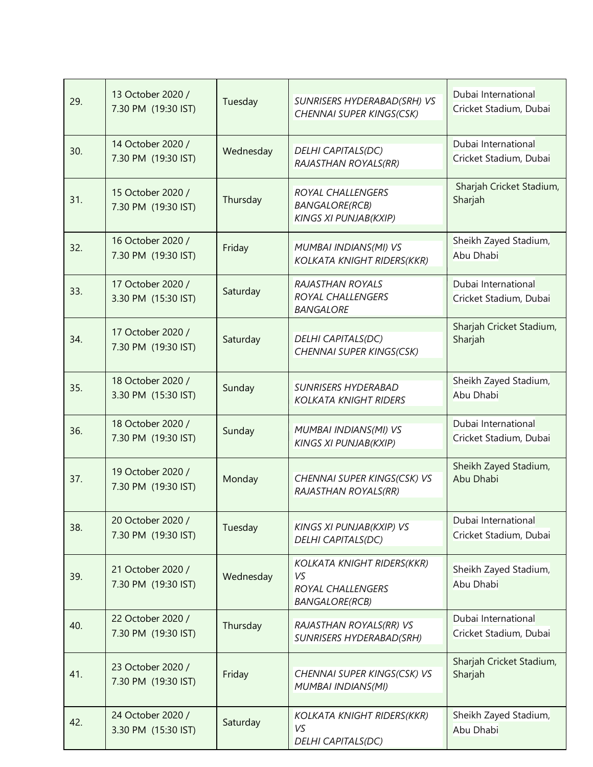| 29. | 13 October 2020 /<br>7.30 PM (19:30 IST) | Tuesday   | SUNRISERS HYDERABAD(SRH) VS<br>CHENNAI SUPER KINGS(CSK)                               | Dubai International<br>Cricket Stadium, Dubai |
|-----|------------------------------------------|-----------|---------------------------------------------------------------------------------------|-----------------------------------------------|
| 30. | 14 October 2020 /<br>7.30 PM (19:30 IST) | Wednesday | DELHI CAPITALS(DC)<br>RAJASTHAN ROYALS(RR)                                            | Dubai International<br>Cricket Stadium, Dubai |
| 31. | 15 October 2020 /<br>7.30 PM (19:30 IST) | Thursday  | ROYAL CHALLENGERS<br><b>BANGALORE(RCB)</b><br><b>KINGS XI PUNJAB(KXIP)</b>            | Sharjah Cricket Stadium,<br>Sharjah           |
| 32. | 16 October 2020 /<br>7.30 PM (19:30 IST) | Friday    | MUMBAI INDIANS(MI) VS<br><b>KOLKATA KNIGHT RIDERS(KKR)</b>                            | Sheikh Zayed Stadium,<br>Abu Dhabi            |
| 33. | 17 October 2020 /<br>3.30 PM (15:30 IST) | Saturday  | <b>RAJASTHAN ROYALS</b><br>ROYAL CHALLENGERS<br><b>BANGALORE</b>                      | Dubai International<br>Cricket Stadium, Dubai |
| 34. | 17 October 2020 /<br>7.30 PM (19:30 IST) | Saturday  | <b>DELHI CAPITALS(DC)</b><br>CHENNAI SUPER KINGS(CSK)                                 | Sharjah Cricket Stadium,<br>Sharjah           |
| 35. | 18 October 2020 /<br>3.30 PM (15:30 IST) | Sunday    | <b>SUNRISERS HYDERABAD</b><br><b>KOLKATA KNIGHT RIDERS</b>                            | Sheikh Zayed Stadium,<br>Abu Dhabi            |
| 36. | 18 October 2020 /<br>7.30 PM (19:30 IST) | Sunday    | <b>MUMBAI INDIANS(MI) VS</b><br><b>KINGS XI PUNJAB(KXIP)</b>                          | Dubai International<br>Cricket Stadium, Dubai |
| 37. | 19 October 2020 /<br>7.30 PM (19:30 IST) | Monday    | CHENNAI SUPER KINGS(CSK) VS<br>RAJASTHAN ROYALS(RR)                                   | Sheikh Zayed Stadium,<br>Abu Dhabi            |
| 38. | 20 October 2020 /<br>7.30 PM (19:30 IST) | Tuesday   | <b>KINGS XI PUNJAB(KXIP) VS</b><br><b>DELHI CAPITALS(DC)</b>                          | Dubai International<br>Cricket Stadium, Dubai |
| 39. | 21 October 2020 /<br>7.30 PM (19:30 IST) | Wednesday | <b>KOLKATA KNIGHT RIDERS(KKR)</b><br>VS<br>ROYAL CHALLENGERS<br><b>BANGALORE(RCB)</b> | Sheikh Zayed Stadium,<br>Abu Dhabi            |
| 40. | 22 October 2020 /<br>7.30 PM (19:30 IST) | Thursday  | RAJASTHAN ROYALS(RR) VS<br><b>SUNRISERS HYDERABAD(SRH)</b>                            | Dubai International<br>Cricket Stadium, Dubai |
| 41. | 23 October 2020 /<br>7.30 PM (19:30 IST) | Friday    | CHENNAI SUPER KINGS(CSK) VS<br><b>MUMBAI INDIANS(MI)</b>                              | Sharjah Cricket Stadium,<br>Sharjah           |
| 42. | 24 October 2020 /<br>3.30 PM (15:30 IST) | Saturday  | KOLKATA KNIGHT RIDERS(KKR)<br>VS<br><b>DELHI CAPITALS(DC)</b>                         | Sheikh Zayed Stadium,<br>Abu Dhabi            |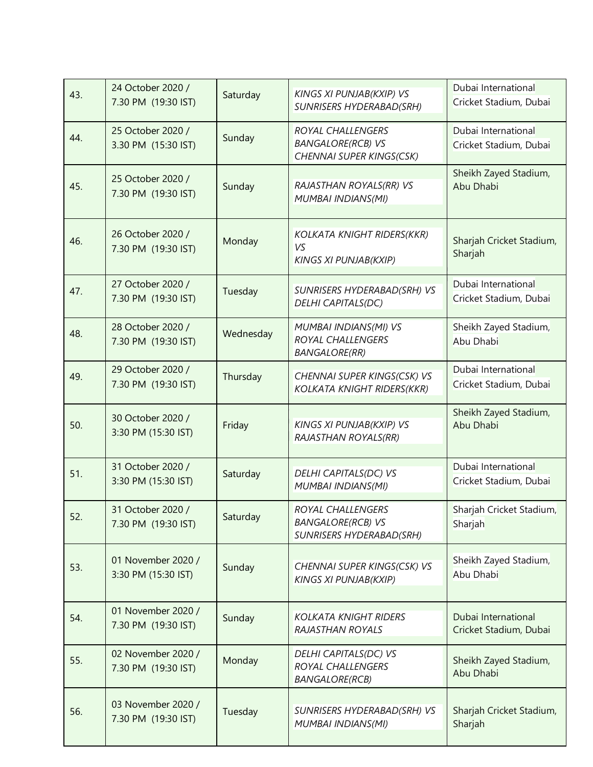| 43. | 24 October 2020 /<br>7.30 PM (19:30 IST)  | Saturday  | KINGS XI PUNJAB(KXIP) VS<br><b>SUNRISERS HYDERABAD(SRH)</b>                      | Dubai International<br>Cricket Stadium, Dubai |
|-----|-------------------------------------------|-----------|----------------------------------------------------------------------------------|-----------------------------------------------|
| 44. | 25 October 2020 /<br>3.30 PM (15:30 IST)  | Sunday    | ROYAL CHALLENGERS<br><b>BANGALORE(RCB) VS</b><br>CHENNAI SUPER KINGS(CSK)        | Dubai International<br>Cricket Stadium, Dubai |
| 45. | 25 October 2020 /<br>7.30 PM (19:30 IST)  | Sunday    | RAJASTHAN ROYALS(RR) VS<br>MUMBAI INDIANS(MI)                                    | Sheikh Zayed Stadium,<br>Abu Dhabi            |
| 46. | 26 October 2020 /<br>7.30 PM (19:30 IST)  | Monday    | <b>KOLKATA KNIGHT RIDERS(KKR)</b><br>VS<br><b>KINGS XI PUNJAB(KXIP)</b>          | Sharjah Cricket Stadium,<br>Sharjah           |
| 47. | 27 October 2020 /<br>7.30 PM (19:30 IST)  | Tuesday   | SUNRISERS HYDERABAD(SRH) VS<br><b>DELHI CAPITALS(DC)</b>                         | Dubai International<br>Cricket Stadium, Dubai |
| 48. | 28 October 2020 /<br>7.30 PM (19:30 IST)  | Wednesday | <b>MUMBAI INDIANS(MI) VS</b><br>ROYAL CHALLENGERS<br><b>BANGALORE(RR)</b>        | Sheikh Zayed Stadium,<br>Abu Dhabi            |
| 49. | 29 October 2020 /<br>7.30 PM (19:30 IST)  | Thursday  | CHENNAI SUPER KINGS(CSK) VS<br><b>KOLKATA KNIGHT RIDERS(KKR)</b>                 | Dubai International<br>Cricket Stadium, Dubai |
| 50. | 30 October 2020 /<br>3:30 PM (15:30 IST)  | Friday    | KINGS XI PUNJAB(KXIP) VS<br>RAJASTHAN ROYALS(RR)                                 | Sheikh Zayed Stadium,<br>Abu Dhabi            |
| 51. | 31 October 2020 /<br>3:30 PM (15:30 IST)  | Saturday  | DELHI CAPITALS(DC) VS<br><b>MUMBAI INDIANS(MI)</b>                               | Dubai International<br>Cricket Stadium, Dubai |
| 52. | 31 October 2020 /<br>7.30 PM (19:30 IST)  | Saturday  | ROYAL CHALLENGERS<br><b>BANGALORE(RCB) VS</b><br><b>SUNRISERS HYDERABAD(SRH)</b> | Sharjah Cricket Stadium,<br>Sharjah           |
| 53. | 01 November 2020 /<br>3:30 PM (15:30 IST) | Sunday    | CHENNAI SUPER KINGS(CSK) VS<br><b>KINGS XI PUNJAB(KXIP)</b>                      | Sheikh Zayed Stadium,<br>Abu Dhabi            |
| 54. | 01 November 2020 /<br>7.30 PM (19:30 IST) | Sunday    | <b>KOLKATA KNIGHT RIDERS</b><br>RAJASTHAN ROYALS                                 | Dubai International<br>Cricket Stadium, Dubai |
| 55. | 02 November 2020 /<br>7.30 PM (19:30 IST) | Monday    | DELHI CAPITALS(DC) VS<br>ROYAL CHALLENGERS<br><b>BANGALORE(RCB)</b>              | Sheikh Zayed Stadium,<br>Abu Dhabi            |
| 56. | 03 November 2020 /<br>7.30 PM (19:30 IST) | Tuesday   | SUNRISERS HYDERABAD(SRH) VS<br><b>MUMBAI INDIANS(MI)</b>                         | Sharjah Cricket Stadium,<br>Sharjah           |